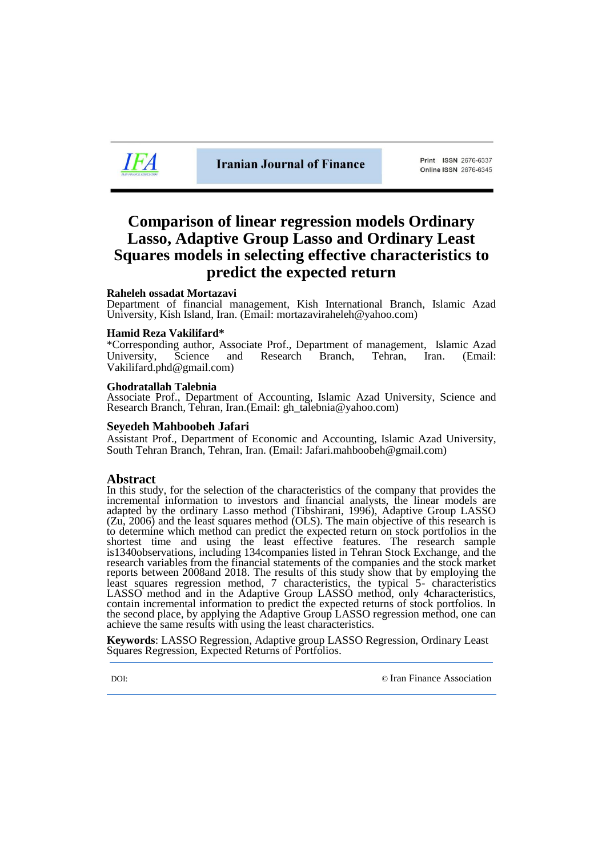

Print ISSN 2676-6337 Online ISSN 2676-6345

## **Comparison of linear regression models Ordinary Lasso, Adaptive Group Lasso and Ordinary Least Squares models in selecting effective characteristics to predict the expected return**

#### **Raheleh ossadat Mortazavi**

Department of financial management, Kish International Branch, Islamic Azad University, Kish Island, Iran. (Email: mortazaviraheleh@yahoo.com)

#### **Hamid Reza Vakilifard\***

\*Corresponding author, Associate Prof., Department of management, Islamic Azad University, Science and Research Branch, Tehran, Iran. (Email: [Vakilifard.phd@gmail.com\)](mailto:Vakilifard.phd@gmail.com)

#### **Ghodratallah Talebnia**

Associate Prof., Department of Accounting, Islamic Azad University, Science and Research Branch, Tehran, Iran.(Email: [gh\\_talebnia@yahoo.com\)](mailto:gh_talebnia@yahoo.com)

#### **Seyedeh Mahboobeh Jafari**

Assistant Prof., Department of Economic and Accounting, Islamic Azad University, South Tehran Branch, Tehran, Iran. (Email: [Jafari.mahboobeh@gmail.com\)](mailto:Jafari.mahboobeh@gmail.com)

#### **Abstract**

In this study, for the selection of the characteristics of the company that provides the incremental information to investors and financial analysts, the linear models are adapted by the ordinary Lasso method (Tibshirani, 1996), Adaptive Group LASSO (Zu, 2006) and the least squares method (OLS). The main objective of this research is to determine which method can predict the expected return on stock portfolios in the shortest time and using the least effective features. The research sample is1340observations, including 134companies listed in Tehran Stock Exchange, and the research variables from the financial statements of the companies and the stock market reports between 2008and 2018. The results of this study show that by employing the least squares regression method, 7 characteristics, the typical 5- characteristics LASSO method and in the Adaptive Group LASSO method, only 4characteristics, contain incremental information to predict the expected returns of stock portfolios. In the second place, by applying the Adaptive Group LASSO regression method, one can achieve the same results with using the least characteristics.

**Keywords**: LASSO Regression, Adaptive group LASSO Regression, Ordinary Least Squares Regression, Expected Returns of Portfolios.

DOI: © [Iran Finance Association](http://ifsa.org.ir/)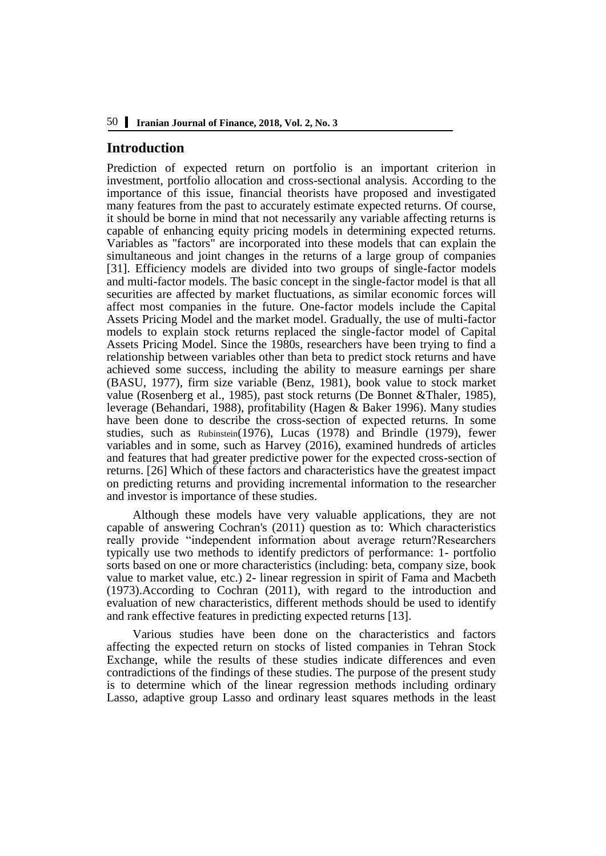## **Introduction**

Prediction of expected return on portfolio is an important criterion in investment, portfolio allocation and cross-sectional analysis. According to the importance of this issue, financial theorists have proposed and investigated many features from the past to accurately estimate expected returns. Of course, it should be borne in mind that not necessarily any variable affecting returns is capable of enhancing equity pricing models in determining expected returns. Variables as "factors" are incorporated into these models that can explain the simultaneous and joint changes in the returns of a large group of companies [31]. Efficiency models are divided into two groups of single-factor models and multi-factor models. The basic concept in the single-factor model is that all securities are affected by market fluctuations, as similar economic forces will affect most companies in the future. One-factor models include the Capital Assets Pricing Model and the market model. Gradually, the use of multi-factor models to explain stock returns replaced the single-factor model of Capital Assets Pricing Model. Since the 1980s, researchers have been trying to find a relationship between variables other than beta to predict stock returns and have achieved some success, including the ability to measure earnings per share (BASU, 1977), firm size variable (Benz, 1981), book value to stock market value (Rosenberg et al., 1985), past stock returns (De Bonnet &Thaler, 1985), leverage (Behandari, 1988), profitability (Hagen & Baker 1996). Many studies have been done to describe the cross-section of expected returns. In some studies, such as Rubinstein(1976), Lucas (1978) and Brindle (1979), fewer variables and in some, such as Harvey (2016), examined hundreds of articles and features that had greater predictive power for the expected cross-section of returns. [26] Which of these factors and characteristics have the greatest impact on predicting returns and providing incremental information to the researcher and investor is importance of these studies.

Although these models have very valuable applications, they are not capable of answering Cochran's (2011) question as to: Which characteristics really provide "independent information about average return?Researchers typically use two methods to identify predictors of performance: 1- portfolio sorts based on one or more characteristics (including: beta, company size, book value to market value, etc.) 2- linear regression in spirit of Fama and Macbeth (1973).According to Cochran (2011), with regard to the introduction and evaluation of new characteristics, different methods should be used to identify and rank effective features in predicting expected returns [13].

Various studies have been done on the characteristics and factors affecting the expected return on stocks of listed companies in Tehran Stock Exchange, while the results of these studies indicate differences and even contradictions of the findings of these studies. The purpose of the present study is to determine which of the linear regression methods including ordinary Lasso, adaptive group Lasso and ordinary least squares methods in the least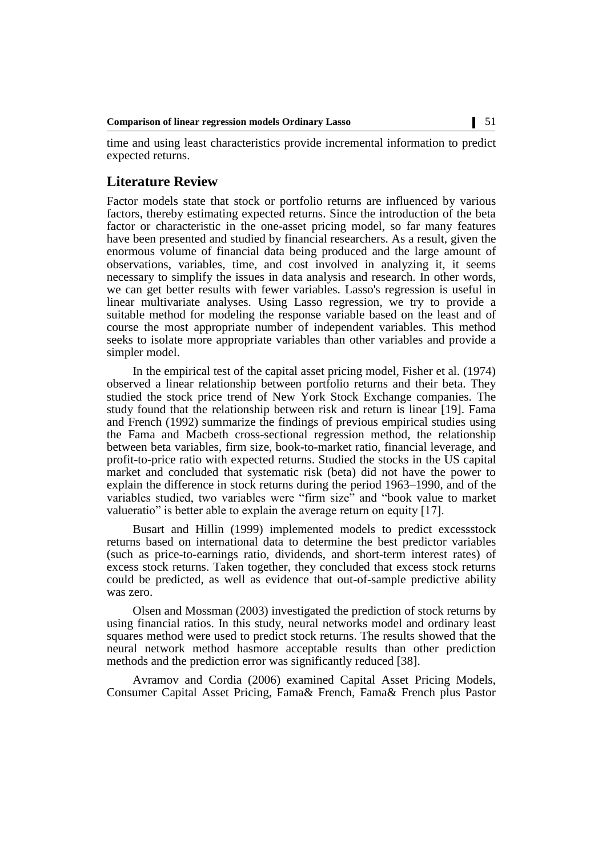time and using least characteristics provide incremental information to predict expected returns.

## **Literature Review**

Factor models state that stock or portfolio returns are influenced by various factors, thereby estimating expected returns. Since the introduction of the beta factor or characteristic in the one-asset pricing model, so far many features have been presented and studied by financial researchers. As a result, given the enormous volume of financial data being produced and the large amount of observations, variables, time, and cost involved in analyzing it, it seems necessary to simplify the issues in data analysis and research. In other words, we can get better results with fewer variables. Lasso's regression is useful in linear multivariate analyses. Using Lasso regression, we try to provide a suitable method for modeling the response variable based on the least and of course the most appropriate number of independent variables. This method seeks to isolate more appropriate variables than other variables and provide a simpler model.

In the empirical test of the capital asset pricing model, Fisher et al. (1974) observed a linear relationship between portfolio returns and their beta. They studied the stock price trend of New York Stock Exchange companies. The study found that the relationship between risk and return is linear [19]. Fama and French (1992) summarize the findings of previous empirical studies using the Fama and Macbeth cross-sectional regression method, the relationship between beta variables, firm size, book-to-market ratio, financial leverage, and profit-to-price ratio with expected returns. Studied the stocks in the US capital market and concluded that systematic risk (beta) did not have the power to explain the difference in stock returns during the period 1963–1990, and of the variables studied, two variables were "firm size" and "book value to market valueratio" is better able to explain the average return on equity [17].

Busart and Hillin (1999) implemented models to predict excessstock returns based on international data to determine the best predictor variables (such as price-to-earnings ratio, dividends, and short-term interest rates) of excess stock returns. Taken together, they concluded that excess stock returns could be predicted, as well as evidence that out-of-sample predictive ability was zero.

Olsen and Mossman (2003) investigated the prediction of stock returns by using financial ratios. In this study, neural networks model and ordinary least squares method were used to predict stock returns. The results showed that the neural network method hasmore acceptable results than other prediction methods and the prediction error was significantly reduced [38].

Avramov and Cordia (2006) examined Capital Asset Pricing Models, Consumer Capital Asset Pricing, Fama& French, Fama& French plus Pastor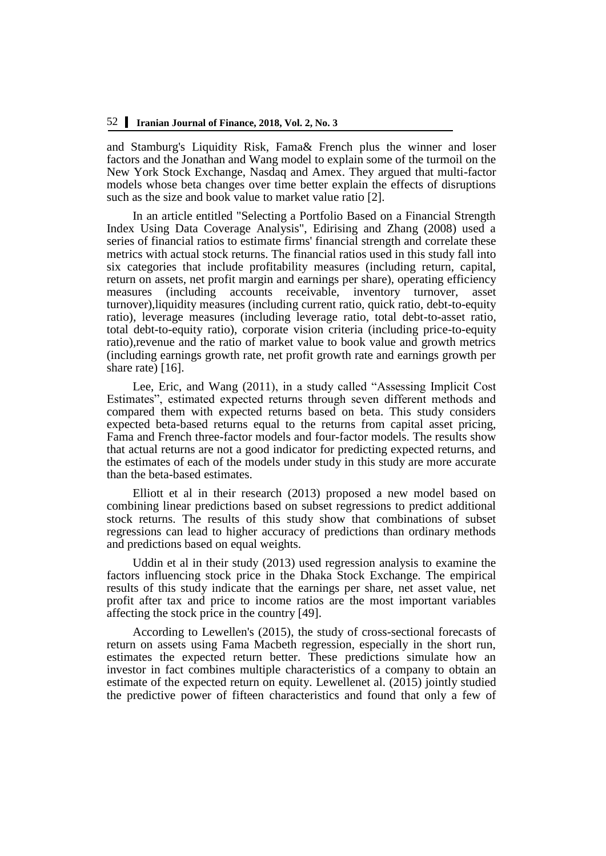and Stamburg's Liquidity Risk, Fama& French plus the winner and loser factors and the Jonathan and Wang model to explain some of the turmoil on the New York Stock Exchange, Nasdaq and Amex. They argued that multi-factor models whose beta changes over time better explain the effects of disruptions such as the size and book value to market value ratio [2].

In an article entitled "Selecting a Portfolio Based on a Financial Strength Index Using Data Coverage Analysis", Edirising and Zhang (2008) used a series of financial ratios to estimate firms' financial strength and correlate these metrics with actual stock returns. The financial ratios used in this study fall into six categories that include profitability measures (including return, capital, return on assets, net profit margin and earnings per share), operating efficiency<br>measures (including accounts receivable, inventory turnover, asset measures (including accounts receivable, inventory turnover, turnover),liquidity measures (including current ratio, quick ratio, debt-to-equity ratio), leverage measures (including leverage ratio, total debt-to-asset ratio, total debt-to-equity ratio), corporate vision criteria (including price-to-equity ratio),revenue and the ratio of market value to book value and growth metrics (including earnings growth rate, net profit growth rate and earnings growth per share rate) [16].

Lee, Eric, and Wang (2011), in a study called "Assessing Implicit Cost Estimates", estimated expected returns through seven different methods and compared them with expected returns based on beta. This study considers expected beta-based returns equal to the returns from capital asset pricing, Fama and French three-factor models and four-factor models. The results show that actual returns are not a good indicator for predicting expected returns, and the estimates of each of the models under study in this study are more accurate than the beta-based estimates.

Elliott et al in their research (2013) proposed a new model based on combining linear predictions based on subset regressions to predict additional stock returns. The results of this study show that combinations of subset regressions can lead to higher accuracy of predictions than ordinary methods and predictions based on equal weights.

Uddin et al in their study (2013) used regression analysis to examine the factors influencing stock price in the Dhaka Stock Exchange. The empirical results of this study indicate that the earnings per share, net asset value, net profit after tax and price to income ratios are the most important variables affecting the stock price in the country [49].

According to Lewellen's (2015), the study of cross-sectional forecasts of return on assets using Fama Macbeth regression, especially in the short run, estimates the expected return better. These predictions simulate how an investor in fact combines multiple characteristics of a company to obtain an estimate of the expected return on equity. Lewellenet al. (2015) jointly studied the predictive power of fifteen characteristics and found that only a few of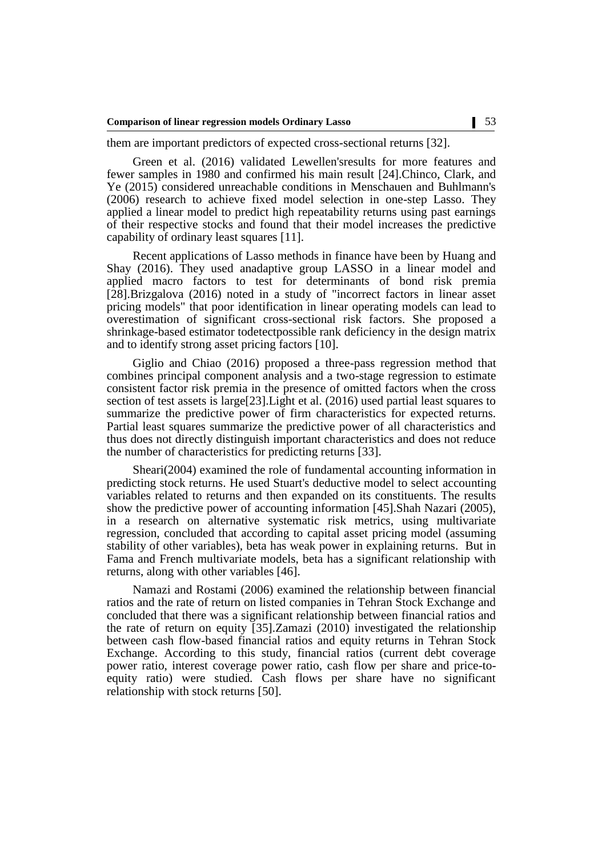them are important predictors of expected cross-sectional returns [32].

Green et al. (2016) validated Lewellen'sresults for more features and fewer samples in 1980 and confirmed his main result [24].Chinco, Clark, and Ye (2015) considered unreachable conditions in Menschauen and Buhlmann's (2006) research to achieve fixed model selection in one-step Lasso. They applied a linear model to predict high repeatability returns using past earnings of their respective stocks and found that their model increases the predictive capability of ordinary least squares [11].

Recent applications of Lasso methods in finance have been by Huang and Shay (2016). They used anadaptive group LASSO in a linear model and applied macro factors to test for determinants of bond risk premia [28].Brizgalova (2016) noted in a study of "incorrect factors in linear asset pricing models" that poor identification in linear operating models can lead to overestimation of significant cross-sectional risk factors. She proposed a shrinkage-based estimator todetectpossible rank deficiency in the design matrix and to identify strong asset pricing factors [10].

Giglio and Chiao (2016) proposed a three-pass regression method that combines principal component analysis and a two-stage regression to estimate consistent factor risk premia in the presence of omitted factors when the cross section of test assets is large[23].Light et al. (2016) used partial least squares to summarize the predictive power of firm characteristics for expected returns. Partial least squares summarize the predictive power of all characteristics and thus does not directly distinguish important characteristics and does not reduce the number of characteristics for predicting returns [33].

Sheari(2004) examined the role of fundamental accounting information in predicting stock returns. He used Stuart's deductive model to select accounting variables related to returns and then expanded on its constituents. The results show the predictive power of accounting information [45].Shah Nazari (2005), in a research on alternative systematic risk metrics, using multivariate regression, concluded that according to capital asset pricing model (assuming stability of other variables), beta has weak power in explaining returns. But in Fama and French multivariate models, beta has a significant relationship with returns, along with other variables [46].

Namazi and Rostami (2006) examined the relationship between financial ratios and the rate of return on listed companies in Tehran Stock Exchange and concluded that there was a significant relationship between financial ratios and the rate of return on equity [35].Zamazi (2010) investigated the relationship between cash flow-based financial ratios and equity returns in Tehran Stock Exchange. According to this study, financial ratios (current debt coverage power ratio, interest coverage power ratio, cash flow per share and price-toequity ratio) were studied. Cash flows per share have no significant relationship with stock returns [50].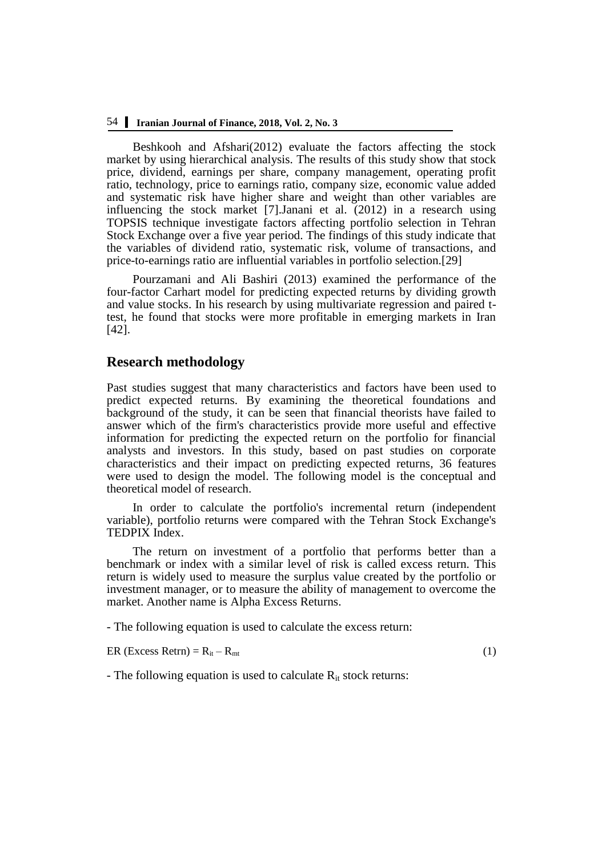## 54 **Iranian Journal of Finance, 2018, Vol. 2, No. 3**

Beshkooh and Afshari(2012) evaluate the factors affecting the stock market by using hierarchical analysis. The results of this study show that stock price, dividend, earnings per share, company management, operating profit ratio, technology, price to earnings ratio, company size, economic value added and systematic risk have higher share and weight than other variables are influencing the stock market [7].Janani et al. (2012) in a research using TOPSIS technique investigate factors affecting portfolio selection in Tehran Stock Exchange over a five year period. The findings of this study indicate that the variables of dividend ratio, systematic risk, volume of transactions, and price-to-earnings ratio are influential variables in portfolio selection.[29]

Pourzamani and Ali Bashiri (2013) examined the performance of the four-factor Carhart model for predicting expected returns by dividing growth and value stocks. In his research by using multivariate regression and paired ttest, he found that stocks were more profitable in emerging markets in Iran [42].

## **Research methodology**

Past studies suggest that many characteristics and factors have been used to predict expected returns. By examining the theoretical foundations and background of the study, it can be seen that financial theorists have failed to answer which of the firm's characteristics provide more useful and effective information for predicting the expected return on the portfolio for financial analysts and investors. In this study, based on past studies on corporate characteristics and their impact on predicting expected returns, 36 features were used to design the model. The following model is the conceptual and theoretical model of research.

In order to calculate the portfolio's incremental return (independent variable), portfolio returns were compared with the Tehran Stock Exchange's TEDPIX Index.

The return on investment of a portfolio that performs better than a benchmark or index with a similar level of risk is called excess return. This return is widely used to measure the surplus value created by the portfolio or investment manager, or to measure the ability of management to overcome the market. Another name is Alpha Excess Returns.

- The following equation is used to calculate the excess return:

ER (Excess Retrn) =  $R_{it} - R_{mt}$  (1)

- The following equation is used to calculate  $R_{it}$  stock returns: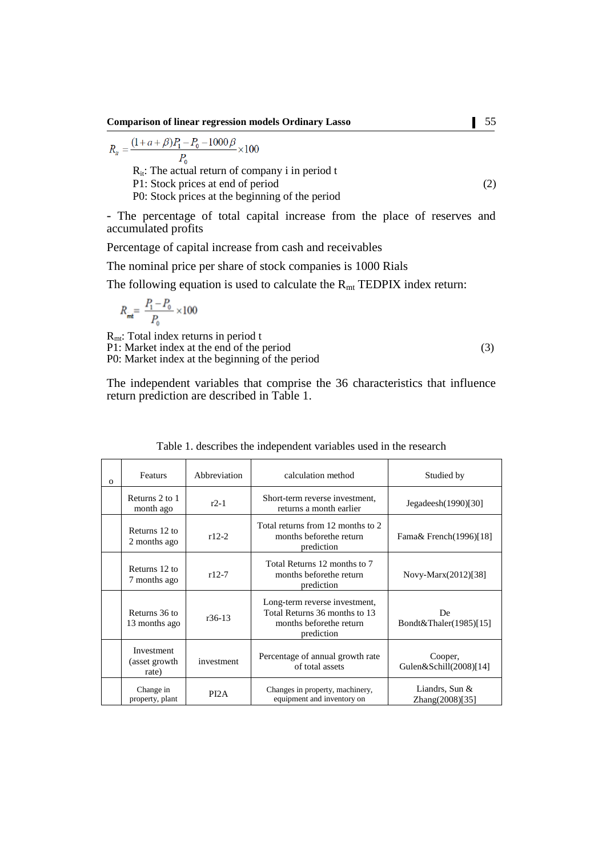**Comparison of linear regression models Ordinary Lasso** 55

$$
R_{tt} = \frac{(1+a+\beta)P_1 - P_0 - 1000\beta}{P_0} \times 100
$$

 $R_{it}$ : The actual return of company i in period t

P1: Stock prices at end of period (2)

P0: Stock prices at the beginning of the period

- The percentage of total capital increase from the place of reserves and accumulated profits

Percentage of capital increase from cash and receivables

The nominal price per share of stock companies is 1000 Rials

The following equation is used to calculate the  $R_{mt}$  TEDPIX index return:

$$
R_{\rm int} = \frac{P_{\rm 1} - P_{\rm 0}}{P_{\rm 0}} \times 100
$$

Rmt: Total index returns in period t P1: Market index at the end of the period (3) P0: Market index at the beginning of the period

The independent variables that comprise the 36 characteristics that influence return prediction are described in Table 1.

| $\Omega$ | Featurs                              | Abbreviation                                                      | calculation method                                                                                       | Studied by                                |
|----------|--------------------------------------|-------------------------------------------------------------------|----------------------------------------------------------------------------------------------------------|-------------------------------------------|
|          | Returns 2 to 1<br>month ago          | $r2-1$                                                            | Short-term reverse investment,<br>returns a month earlier                                                | Jegadeesh(1990)[30]                       |
|          | Returns 12 to<br>2 months ago        | $r12-2$                                                           | Total returns from 12 months to 2<br>months beforethe return<br>prediction                               | Fama& French(1996)[18]                    |
|          | Returns 12 to<br>7 months ago        | $r12-7$                                                           | Total Returns 12 months to 7<br>months before the return<br>prediction                                   | Novy-Marx(2012)[38]                       |
|          | Returns 36 to<br>13 months ago       | $r36-13$                                                          | Long-term reverse investment,<br>Total Returns 36 months to 13<br>months before the return<br>prediction | De.<br>Bondt&Thaler(1985)[15]             |
|          | Investment<br>(asset growth<br>rate) | Percentage of annual growth rate<br>investment<br>of total assets |                                                                                                          | Cooper,<br>Gulen $&$ Schill $(2008)$ [14] |
|          | Change in<br>property, plant         | PI <sub>2</sub> A                                                 | Changes in property, machinery,<br>equipment and inventory on                                            | Liandrs, Sun &<br>Zhang(2008)[35]         |

| Table 1. describes the independent variables used in the research |  |  |  |
|-------------------------------------------------------------------|--|--|--|
|-------------------------------------------------------------------|--|--|--|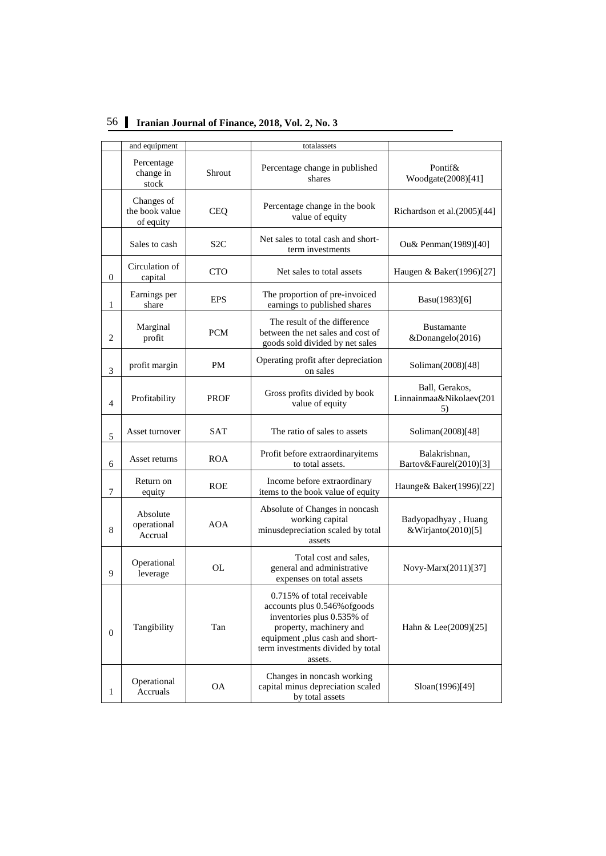|                | and equipment                             |                  | totalassets                                                                                                                                                                                             |                                                 |
|----------------|-------------------------------------------|------------------|---------------------------------------------------------------------------------------------------------------------------------------------------------------------------------------------------------|-------------------------------------------------|
|                | Percentage<br>change in<br>stock          | Shrout           | Percentage change in published<br>shares                                                                                                                                                                | Pontif&<br>Woodgate(2008)[41]                   |
|                | Changes of<br>the book value<br>of equity | <b>CEQ</b>       | Richardson et al.(2005)[44]                                                                                                                                                                             |                                                 |
|                | Sales to cash                             | S <sub>2</sub> C | Net sales to total cash and short-<br>term investments                                                                                                                                                  | Ou& Penman(1989)[40]                            |
| $\overline{0}$ | Circulation of<br>capital                 | <b>CTO</b>       | Net sales to total assets                                                                                                                                                                               | Haugen & Baker(1996)[27]                        |
| 1              | Earnings per<br>share                     | <b>EPS</b>       | The proportion of pre-invoiced<br>earnings to published shares                                                                                                                                          | Basu(1983)[6]                                   |
| 2              | Marginal<br>profit                        | <b>PCM</b>       | The result of the difference<br>between the net sales and cost of<br>goods sold divided by net sales                                                                                                    | <b>Bustamante</b><br>&Donangelo(2016)           |
| 3              | profit margin                             | <b>PM</b>        | Operating profit after depreciation<br>on sales                                                                                                                                                         | Soliman(2008)[48]                               |
| $\overline{4}$ | Profitability                             | <b>PROF</b>      | Gross profits divided by book<br>value of equity                                                                                                                                                        | Ball, Gerakos,<br>Linnainmaa&Nikolaev(201<br>5) |
| 5              | Asset turnover                            | <b>SAT</b>       | The ratio of sales to assets                                                                                                                                                                            | Soliman(2008)[48]                               |
| 6              | Asset returns                             | <b>ROA</b>       | Profit before extraordinaryitems<br>to total assets.                                                                                                                                                    | Balakrishnan,<br>Bartov&Faurel(2010)[3]         |
| 7              | Return on<br>equity                       | <b>ROE</b>       | Income before extraordinary<br>items to the book value of equity                                                                                                                                        | Haunge& Baker(1996)[22]                         |
| 8              | Absolute<br>operational<br>Accrual        | AOA              | Absolute of Changes in noncash<br>working capital<br>minusdepreciation scaled by total<br>assets                                                                                                        | Badyopadhyay, Huang<br>&Wirjanto(2010)[5]       |
| 9              | Operational<br>leverage                   | OL               | Total cost and sales,<br>general and administrative<br>expenses on total assets                                                                                                                         | Novy-Marx(2011)[37]                             |
| $\overline{0}$ | Tangibility                               | Tan              | 0.715% of total receivable<br>accounts plus 0.546% of goods<br>inventories plus 0.535% of<br>property, machinery and<br>equipment ,plus cash and short-<br>term investments divided by total<br>assets. | Hahn & Lee(2009)[25]                            |
| 1              | Operational<br>Accruals                   | <b>OA</b>        | Changes in noncash working<br>capital minus depreciation scaled<br>by total assets                                                                                                                      | Sloan(1996)[49]                                 |

# 56 **Iranian Journal of Finance, 2018, Vol. 2, No. 3**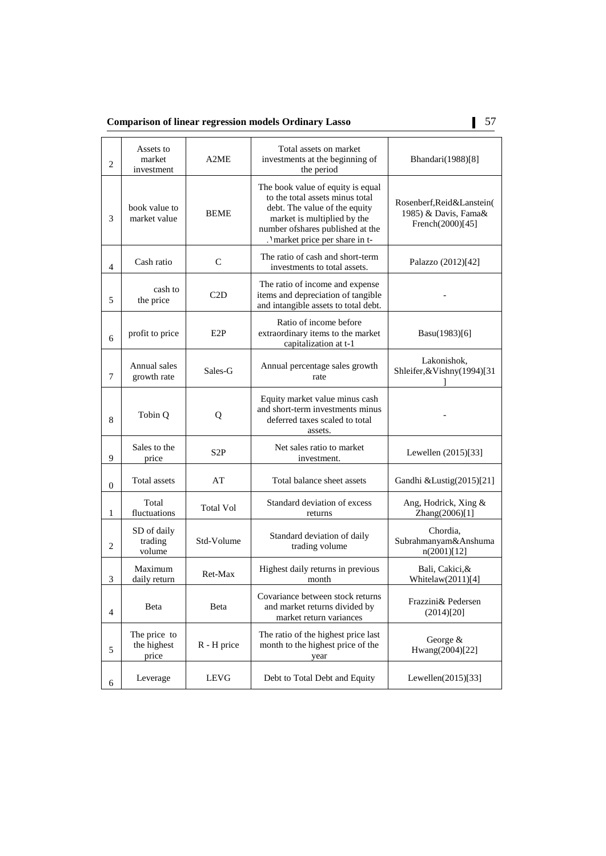**Comparison of linear regression models Ordinary Lasso** 57

| $\overline{2}$   | Assets to<br>market<br>investment            | A2ME             | Total assets on market<br>investments at the beginning of<br>the period                                                                                                                                      | Bhandari(1988)[8]                                                     |
|------------------|----------------------------------------------|------------------|--------------------------------------------------------------------------------------------------------------------------------------------------------------------------------------------------------------|-----------------------------------------------------------------------|
| 3                | book value to<br><b>BEME</b><br>market value |                  | The book value of equity is equal<br>to the total assets minus total<br>debt. The value of the equity<br>market is multiplied by the<br>number of shares published at the<br>. 'market price per share in t- | Rosenberf, Reid&Lanstein(<br>1985) & Davis, Fama&<br>French(2000)[45] |
| $\overline{4}$   | Cash ratio                                   | $\mathsf{C}$     | The ratio of cash and short-term<br>investments to total assets.                                                                                                                                             | Palazzo (2012)[42]                                                    |
| 5                | cash to<br>the price                         | C2D              | The ratio of income and expense<br>items and depreciation of tangible<br>and intangible assets to total debt.                                                                                                |                                                                       |
| 6                | profit to price                              | E <sub>2</sub> P | Ratio of income before<br>extraordinary items to the market<br>capitalization at t-1                                                                                                                         | Basu(1983)[6]                                                         |
| $\overline{7}$   | Annual sales<br>growth rate                  | Sales-G          | Annual percentage sales growth<br>rate                                                                                                                                                                       | Lakonishok,<br>Shleifer, & Vishny (1994)[31                           |
| 8                | Tobin Q                                      | Q                | Equity market value minus cash<br>and short-term investments minus<br>deferred taxes scaled to total<br>assets.                                                                                              |                                                                       |
| 9                | Sales to the<br>price                        | S2P              | Net sales ratio to market<br>investment.                                                                                                                                                                     | Lewellen (2015)[33]                                                   |
| $\boldsymbol{0}$ | <b>Total</b> assets                          | AT               | Total balance sheet assets                                                                                                                                                                                   | Gandhi &Lustig(2015)[21]                                              |
| 1                | Total<br>fluctuations                        | <b>Total Vol</b> | Standard deviation of excess<br>returns                                                                                                                                                                      | Ang, Hodrick, Xing &<br>Zhang(2006)[1]                                |
| $\mathbf{2}$     | SD of daily<br>trading<br>volume             | Std-Volume       | Standard deviation of daily<br>trading volume                                                                                                                                                                | Chordia,<br>Subrahmanyam&Anshuma<br>n(2001)[12]                       |
| 3                | Maximum<br>daily return                      | Ret-Max          | Highest daily returns in previous<br>month                                                                                                                                                                   | Bali, Cakici, &<br>Whitelaw(2011)[4]                                  |
| $\overline{4}$   | Beta                                         | Beta             | Covariance between stock returns<br>and market returns divided by<br>market return variances                                                                                                                 | Frazzini& Pedersen<br>(2014)[20]                                      |
| 5                | The price to<br>the highest<br>price         | R - H price      | The ratio of the highest price last<br>month to the highest price of the<br>year                                                                                                                             | George &<br>Hwang(2004)[22]                                           |
| 6                | Leverage                                     | <b>LEVG</b>      | Debt to Total Debt and Equity                                                                                                                                                                                | Lewellen $(2015)[33]$                                                 |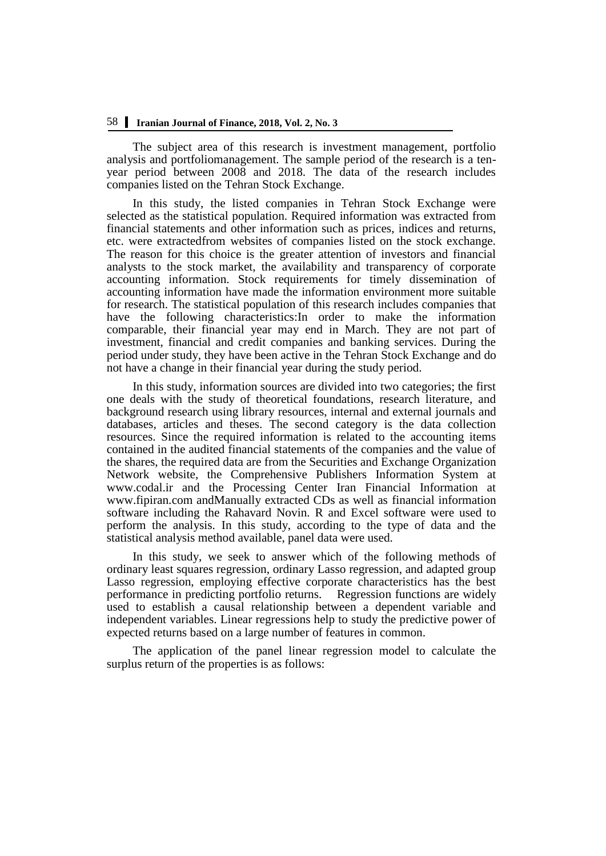The subject area of this research is investment management, portfolio analysis and portfoliomanagement. The sample period of the research is a tenyear period between 2008 and 2018. The data of the research includes companies listed on the Tehran Stock Exchange.

In this study, the listed companies in Tehran Stock Exchange were selected as the statistical population. Required information was extracted from financial statements and other information such as prices, indices and returns, etc. were extractedfrom websites of companies listed on the stock exchange. The reason for this choice is the greater attention of investors and financial analysts to the stock market, the availability and transparency of corporate accounting information. Stock requirements for timely dissemination of accounting information have made the information environment more suitable for research. The statistical population of this research includes companies that have the following characteristics:In order to make the information comparable, their financial year may end in March. They are not part of investment, financial and credit companies and banking services. During the period under study, they have been active in the Tehran Stock Exchange and do not have a change in their financial year during the study period.

In this study, information sources are divided into two categories; the first one deals with the study of theoretical foundations, research literature, and background research using library resources, internal and external journals and databases, articles and theses. The second category is the data collection resources. Since the required information is related to the accounting items contained in the audited financial statements of the companies and the value of the shares, the required data are from the Securities and Exchange Organization Network website, the Comprehensive Publishers Information System at www.codal.ir and the Processing Center Iran Financial Information at www.fipiran.com andManually extracted CDs as well as financial information software including the Rahavard Novin. R and Excel software were used to perform the analysis. In this study, according to the type of data and the statistical analysis method available, panel data were used.

In this study, we seek to answer which of the following methods of ordinary least squares regression, ordinary Lasso regression, and adapted group Lasso regression, employing effective corporate characteristics has the best performance in predicting portfolio returns. Regression functions are widely used to establish a causal relationship between a dependent variable and independent variables. Linear regressions help to study the predictive power of expected returns based on a large number of features in common.

The application of the panel linear regression model to calculate the surplus return of the properties is as follows: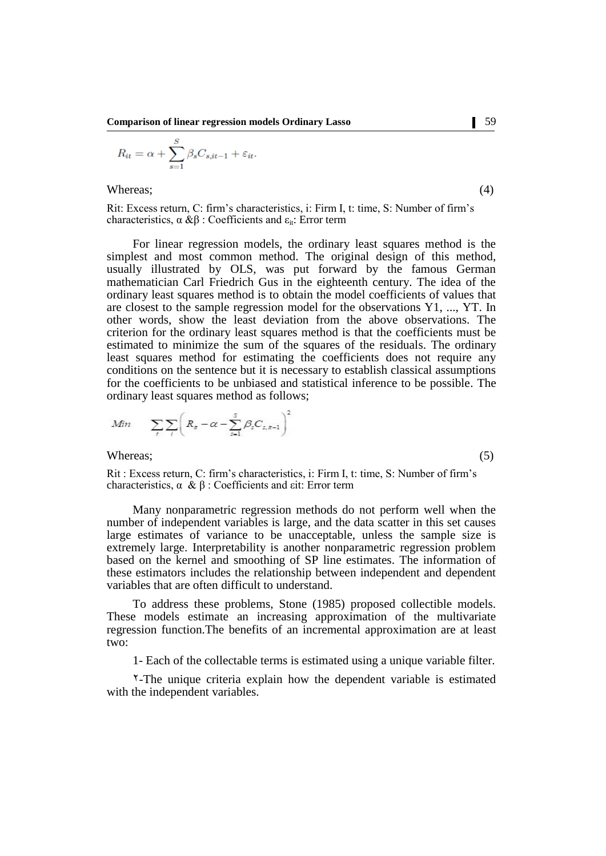$$
R_{it} = \alpha + \sum_{s=1}^{S} \beta_s C_{s, it-1} + \varepsilon_{it}.
$$

Whereas;  $(4)$ 

Rit: Excess return, C: firm's characteristics, i: Firm I, t: time, S: Number of firm's characteristics,  $\alpha \& \beta$ : Coefficients and  $\varepsilon_{it}$ : Error term

For linear regression models, the ordinary least squares method is the simplest and most common method. The original design of this method, usually illustrated by OLS, was put forward by the famous German mathematician Carl Friedrich Gus in the eighteenth century. The idea of the ordinary least squares method is to obtain the model coefficients of values that are closest to the sample regression model for the observations Y1, ..., YT. In other words, show the least deviation from the above observations. The criterion for the ordinary least squares method is that the coefficients must be estimated to minimize the sum of the squares of the residuals. The ordinary least squares method for estimating the coefficients does not require any conditions on the sentence but it is necessary to establish classical assumptions for the coefficients to be unbiased and statistical inference to be possible. The ordinary least squares method as follows;

$$
Min \qquad \sum_{t} \sum_{i} \left( R_{t} - \alpha - \sum_{s=1}^{S} \beta_{s} C_{s, s-1} \right)^{2}
$$

Whereas; (5)

Rit : Excess return, C: firm's characteristics, i: Firm I, t: time, S: Number of firm's characteristics, α & β : Coefficients and εit: Error term

Many nonparametric regression methods do not perform well when the number of independent variables is large, and the data scatter in this set causes large estimates of variance to be unacceptable, unless the sample size is extremely large. Interpretability is another nonparametric regression problem based on the kernel and smoothing of SP line estimates. The information of these estimators includes the relationship between independent and dependent variables that are often difficult to understand.

To address these problems, Stone (1985) proposed collectible models. These models estimate an increasing approximation of the multivariate regression function.The benefits of an incremental approximation are at least two:

1- Each of the collectable terms is estimated using a unique variable filter.

2-The unique criteria explain how the dependent variable is estimated with the independent variables.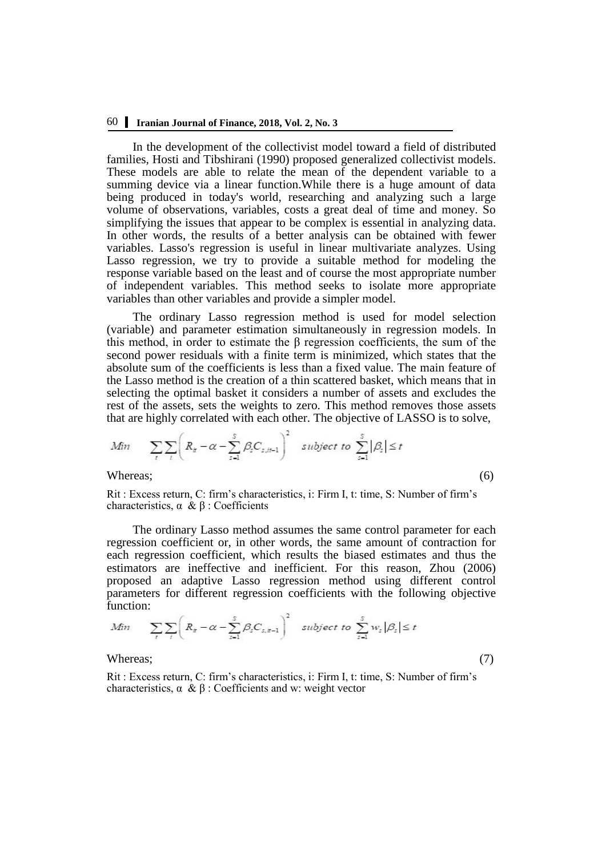In the development of the collectivist model toward a field of distributed families, Hosti and Tibshirani (1990) proposed generalized collectivist models. These models are able to relate the mean of the dependent variable to a summing device via a linear function.While there is a huge amount of data being produced in today's world, researching and analyzing such a large volume of observations, variables, costs a great deal of time and money. So simplifying the issues that appear to be complex is essential in analyzing data. In other words, the results of a better analysis can be obtained with fewer variables. Lasso's regression is useful in linear multivariate analyzes. Using Lasso regression, we try to provide a suitable method for modeling the response variable based on the least and of course the most appropriate number of independent variables. This method seeks to isolate more appropriate variables than other variables and provide a simpler model.

The ordinary Lasso regression method is used for model selection (variable) and parameter estimation simultaneously in regression models. In this method, in order to estimate the  $\beta$  regression coefficients, the sum of the second power residuals with a finite term is minimized, which states that the absolute sum of the coefficients is less than a fixed value. The main feature of the Lasso method is the creation of a thin scattered basket, which means that in selecting the optimal basket it considers a number of assets and excludes the rest of the assets, sets the weights to zero. This method removes those assets that are highly correlated with each other. The objective of LASSO is to solve,

$$
Min \sum_{t} \sum_{i} \left( R_{it} - \alpha - \sum_{s=1}^{S} \beta_{s} C_{s, it-1} \right)^{2} \quad subject to \sum_{s=1}^{S} |\beta_{s}| \leq t
$$
\n
$$
\text{Whereas;} \tag{6}
$$

Rit : Excess return, C: firm's characteristics, i: Firm I, t: time, S: Number of firm's characteristics,  $\alpha$  &  $\beta$  : Coefficients

The ordinary Lasso method assumes the same control parameter for each regression coefficient or, in other words, the same amount of contraction for each regression coefficient, which results the biased estimates and thus the estimators are ineffective and inefficient. For this reason, Zhou (2006) proposed an adaptive Lasso regression method using different control parameters for different regression coefficients with the following objective function:

$$
Min \qquad \sum_{t} \sum_{i} \left( R_{t} - \alpha - \sum_{s=1}^{S} \beta_{s} C_{s,t-1} \right)^{2} \quad subject \ to \ \sum_{s=1}^{S} w_{s} \left| \beta_{s} \right| \leq t
$$

Whereas; (7)

Rit : Excess return, C: firm's characteristics, i: Firm I, t: time, S: Number of firm's characteristics,  $\alpha \& \beta$ : Coefficients and w: weight vector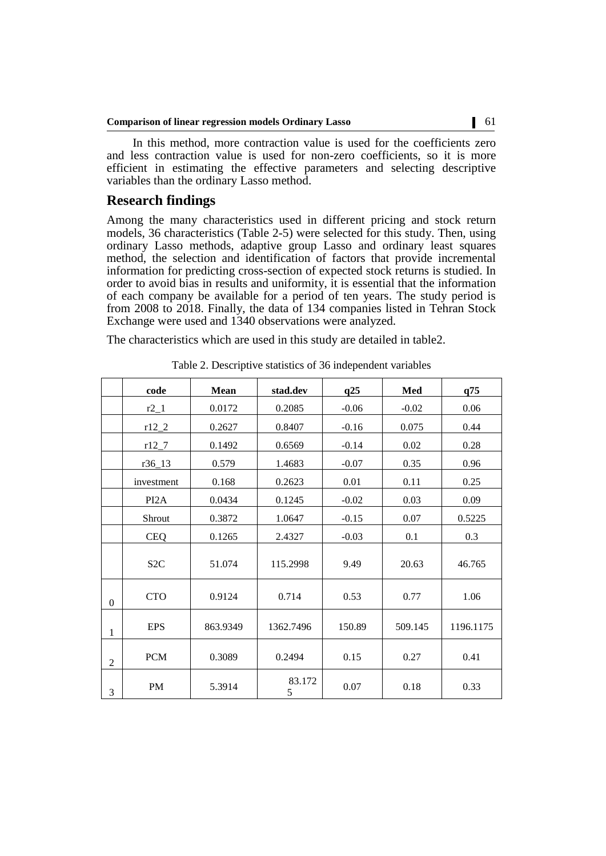In this method, more contraction value is used for the coefficients zero and less contraction value is used for non-zero coefficients, so it is more efficient in estimating the effective parameters and selecting descriptive variables than the ordinary Lasso method.

## **Research findings**

Among the many characteristics used in different pricing and stock return models, 36 characteristics (Table 2-5) were selected for this study. Then, using ordinary Lasso methods, adaptive group Lasso and ordinary least squares method, the selection and identification of factors that provide incremental information for predicting cross-section of expected stock returns is studied. In order to avoid bias in results and uniformity, it is essential that the information of each company be available for a period of ten years. The study period is from 2008 to 2018. Finally, the data of 134 companies listed in Tehran Stock Exchange were used and 1340 observations were analyzed.

The characteristics which are used in this study are detailed in table2.

|                | code              | <b>Mean</b> | stad.dev    | q25     | Med     | q75       |
|----------------|-------------------|-------------|-------------|---------|---------|-----------|
|                | $r2_1$            | 0.0172      | 0.2085      | $-0.06$ |         | 0.06      |
|                | $r12_2$           | 0.2627      | 0.8407      | $-0.16$ | 0.075   | 0.44      |
|                | $r12_7$           | 0.1492      | 0.6569      | $-0.14$ | 0.02    | 0.28      |
|                | $r36_13$          | 0.579       | 1.4683      | $-0.07$ | 0.35    | 0.96      |
|                | investment        | 0.168       | 0.2623      | 0.01    | 0.11    | 0.25      |
|                | PI <sub>2</sub> A | 0.0434      | 0.1245      | $-0.02$ | 0.03    | 0.09      |
|                | Shrout            | 0.3872      | 1.0647      | $-0.15$ | 0.07    | 0.5225    |
|                | <b>CEQ</b>        | 0.1265      | 2.4327      | $-0.03$ | 0.1     | 0.3       |
|                | S <sub>2</sub> C  | 51.074      | 115.2998    | 9.49    | 20.63   | 46.765    |
| $\mathbf{0}$   | <b>CTO</b>        | 0.9124      | 0.714       | 0.53    | 0.77    | 1.06      |
| 1              | <b>EPS</b>        | 863.9349    | 1362.7496   | 150.89  | 509.145 | 1196.1175 |
| $\overline{2}$ | <b>PCM</b>        | 0.3089      | 0.2494      | 0.15    | 0.27    | 0.41      |
| 3              | <b>PM</b>         | 5.3914      | 83.172<br>5 | 0.07    | 0.18    | 0.33      |

Table 2. Descriptive statistics of 36 independent variables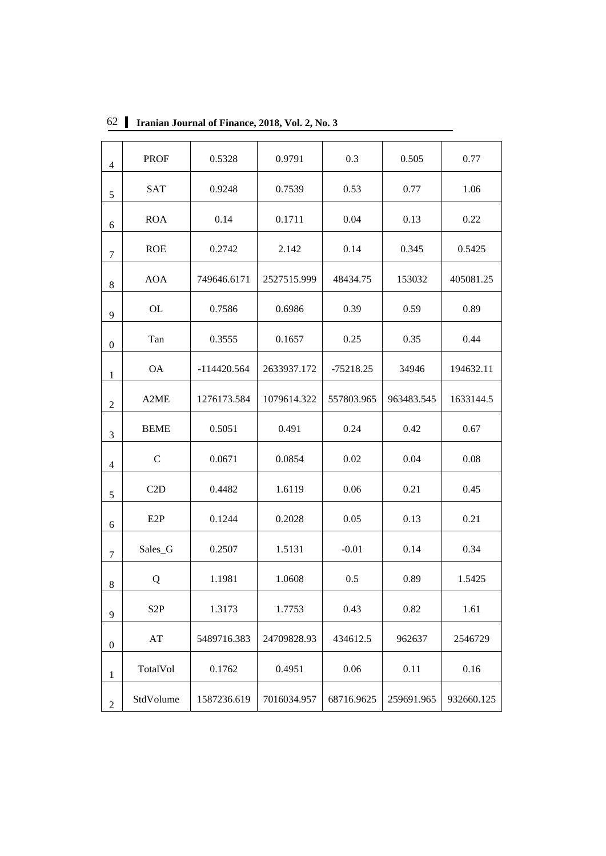|                  | <b>PROF</b>      | 0.5328                     | 0.9791      | 0.3         | 0.505      | 0.77       |
|------------------|------------------|----------------------------|-------------|-------------|------------|------------|
| $\overline{4}$   |                  |                            |             |             |            |            |
| 5                | <b>SAT</b>       | 0.9248                     | 0.7539      | 0.53        | 0.77       | 1.06       |
| 6                | <b>ROA</b>       | 0.14                       | 0.1711      | 0.04        | 0.13       | 0.22       |
| $\tau$           | <b>ROE</b>       | 0.2742                     | 2.142       | 0.14        | 0.345      | 0.5425     |
| $\,8\,$          | <b>AOA</b>       | 749646.6171                | 2527515.999 | 48434.75    | 153032     | 405081.25  |
| 9                | <b>OL</b>        | 0.7586                     | 0.6986      | 0.39        | 0.59       | 0.89       |
| $\boldsymbol{0}$ | Tan              | 0.3555                     | 0.1657      | 0.25        | 0.35       | 0.44       |
| 1                | <b>OA</b>        | $-114420.564$              | 2633937.172 | $-75218.25$ | 34946      | 194632.11  |
| $\overline{2}$   | A2ME             | 1079614.322<br>1276173.584 |             | 557803.965  | 963483.545 | 1633144.5  |
| $\mathfrak{Z}$   | <b>BEME</b>      | 0.5051<br>0.491            |             | 0.24        | 0.42       | 0.67       |
| $\overline{4}$   | $\mathcal{C}$    | 0.0671                     | 0.0854      | 0.02        | 0.04       | 0.08       |
| 5                | C2D              | 0.4482                     | 1.6119      | 0.06        | 0.21       | 0.45       |
| 6                | E <sub>2</sub> P | 0.1244                     | 0.2028      | 0.05        | 0.13       | 0.21       |
| 7                | Sales_G          | 0.2507                     | 1.5131      | $-0.01$     | 0.14       | 0.34       |
| $\,8\,$          | Q                | 1.1981                     | 1.0608      | 0.5         | 0.89       | 1.5425     |
| 9                | S <sub>2</sub> P | 1.3173<br>1.7753<br>0.43   |             |             | 0.82       | 1.61       |
| $\boldsymbol{0}$ | AT               | 5489716.383                | 24709828.93 | 434612.5    | 962637     | 2546729    |
| 1                | TotalVol         | 0.1762                     |             | 0.06        | 0.11       | 0.16       |
| $\overline{2}$   | StdVolume        | 1587236.619                | 7016034.957 | 68716.9625  | 259691.965 | 932660.125 |

62 **Iranian Journal of Finance, 2018, Vol. 2, No. 3**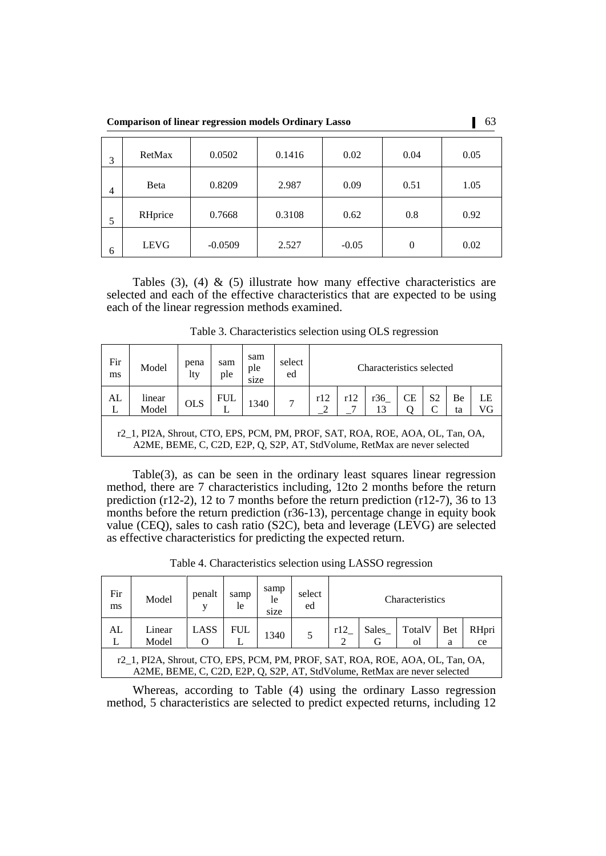**Comparison of linear regression models Ordinary Lasso** 63

| 3 | RetMax      | 0.0502    | 0.1416 | 0.02    | 0.04                | 0.05 |  |
|---|-------------|-----------|--------|---------|---------------------|------|--|
| 4 | Beta        | 0.8209    | 2.987  | 0.09    | 0.51<br>0.8<br>0.62 |      |  |
| 5 | RHprice     | 0.7668    | 0.3108 |         |                     | 0.92 |  |
| 6 | <b>LEVG</b> | $-0.0509$ | 2.527  | $-0.05$ | $\overline{0}$      | 0.02 |  |

Tables  $(3)$ ,  $(4)$  &  $(5)$  illustrate how many effective characteristics are selected and each of the effective characteristics that are expected to be using each of the linear regression methods examined.

| Fir<br>ms | Model                                                                                                                                                      | pena<br>lty | sam<br>ple | sam<br>ple<br>size | select<br>ed | Characteristics selected |     |           |    |    |          |          |
|-----------|------------------------------------------------------------------------------------------------------------------------------------------------------------|-------------|------------|--------------------|--------------|--------------------------|-----|-----------|----|----|----------|----------|
| AL<br>L   | linear<br>Model                                                                                                                                            | <b>OLS</b>  | <b>FUL</b> | 1340               |              | r12                      | r12 | r36<br>13 | СE | S2 | Be<br>ta | LE<br>VG |
|           | r2 1, PI2A, Shrout, CTO, EPS, PCM, PM, PROF, SAT, ROA, ROE, AOA, OL, Tan, OA,<br>A2ME, BEME, C, C2D, E2P, Q, S2P, AT, StdVolume, RetMax are never selected |             |            |                    |              |                          |     |           |    |    |          |          |

Table 3. Characteristics selection using OLS regression

Table(3), as can be seen in the ordinary least squares linear regression method, there are 7 characteristics including, 12to 2 months before the return prediction (r12-2), 12 to 7 months before the return prediction (r12-7), 36 to 13 months before the return prediction (r36-13), percentage change in equity book value (CEQ), sales to cash ratio (S2C), beta and leverage (LEVG) are selected as effective characteristics for predicting the expected return.

Table 4. Characteristics selection using LASSO regression

| Fir<br>ms | Model                                                                                                                                                      | penalt | samp<br>le | samp<br>le<br>size | select<br>ed | Characteristics                                               |  |  |  |  |  |
|-----------|------------------------------------------------------------------------------------------------------------------------------------------------------------|--------|------------|--------------------|--------------|---------------------------------------------------------------|--|--|--|--|--|
| AL<br>L   | Linear<br>Model                                                                                                                                            | LASS   | FUL        | 1340               |              | TotalV<br>Bet<br>RHpri<br>r12<br>Sales<br>$\Omega$<br>ce<br>a |  |  |  |  |  |
|           | r2_1, PI2A, Shrout, CTO, EPS, PCM, PM, PROF, SAT, ROA, ROE, AOA, OL, Tan, OA,<br>A2ME, BEME, C, C2D, E2P, Q, S2P, AT, StdVolume, RetMax are never selected |        |            |                    |              |                                                               |  |  |  |  |  |

Whereas, according to Table (4) using the ordinary Lasso regression method, 5 characteristics are selected to predict expected returns, including 12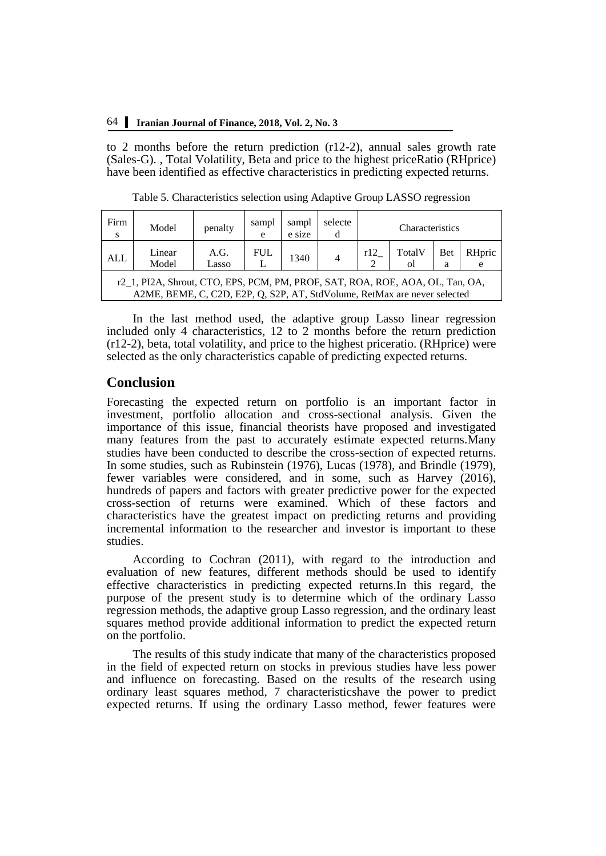to 2 months before the return prediction (r12-2), annual sales growth rate (Sales-G). , Total Volatility, Beta and price to the highest priceRatio (RHprice) have been identified as effective characteristics in predicting expected returns.

| Firm<br><sub>S</sub> | Model                                                                                                                                                      | penalty       | sampl<br>e | sampl<br>e size | selecte | Characteristics |              |                 |             |
|----------------------|------------------------------------------------------------------------------------------------------------------------------------------------------------|---------------|------------|-----------------|---------|-----------------|--------------|-----------------|-------------|
| ALL                  | Linear<br>Model                                                                                                                                            | A.G.<br>Lasso | <b>FUL</b> | 1340            |         | r12<br>↑        | TotalV<br>οl | <b>Bet</b><br>a | RHpric<br>e |
|                      | r2_1, PI2A, Shrout, CTO, EPS, PCM, PM, PROF, SAT, ROA, ROE, AOA, OL, Tan, OA,<br>A2ME, BEME, C, C2D, E2P, Q, S2P, AT, StdVolume, RetMax are never selected |               |            |                 |         |                 |              |                 |             |

Table 5. Characteristics selection using Adaptive Group LASSO regression

In the last method used, the adaptive group Lasso linear regression included only 4 characteristics, 12 to 2 months before the return prediction (r12-2), beta, total volatility, and price to the highest priceratio. (RHprice) were selected as the only characteristics capable of predicting expected returns.

## **Conclusion**

Forecasting the expected return on portfolio is an important factor in investment, portfolio allocation and cross-sectional analysis. Given the importance of this issue, financial theorists have proposed and investigated many features from the past to accurately estimate expected returns.Many studies have been conducted to describe the cross-section of expected returns. In some studies, such as Rubinstein (1976), Lucas (1978), and Brindle (1979), fewer variables were considered, and in some, such as Harvey (2016), hundreds of papers and factors with greater predictive power for the expected cross-section of returns were examined. Which of these factors and characteristics have the greatest impact on predicting returns and providing incremental information to the researcher and investor is important to these studies.

According to Cochran (2011), with regard to the introduction and evaluation of new features, different methods should be used to identify effective characteristics in predicting expected returns.In this regard, the purpose of the present study is to determine which of the ordinary Lasso regression methods, the adaptive group Lasso regression, and the ordinary least squares method provide additional information to predict the expected return on the portfolio.

The results of this study indicate that many of the characteristics proposed in the field of expected return on stocks in previous studies have less power and influence on forecasting. Based on the results of the research using ordinary least squares method, 7 characteristicshave the power to predict expected returns. If using the ordinary Lasso method, fewer features were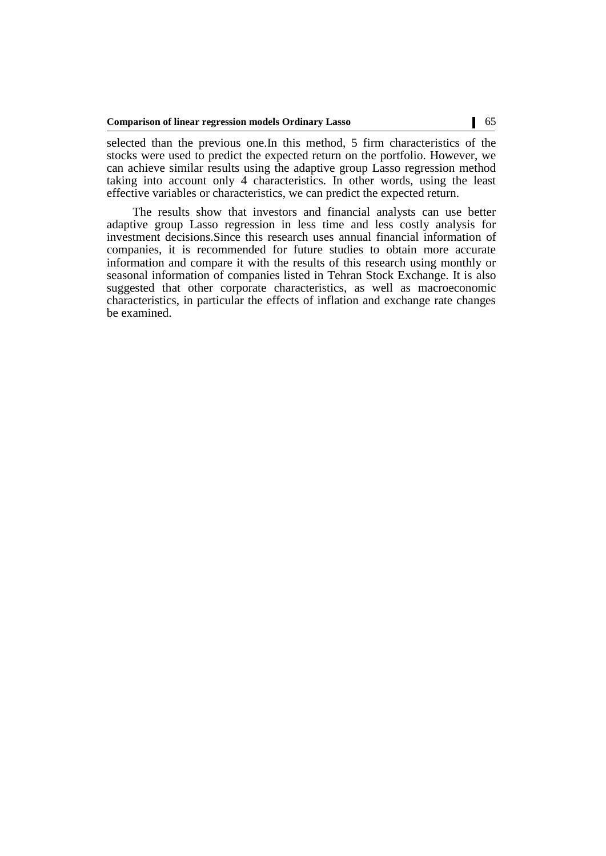selected than the previous one.In this method, 5 firm characteristics of the stocks were used to predict the expected return on the portfolio. However, we can achieve similar results using the adaptive group Lasso regression method taking into account only 4 characteristics. In other words, using the least effective variables or characteristics, we can predict the expected return.

The results show that investors and financial analysts can use better adaptive group Lasso regression in less time and less costly analysis for investment decisions.Since this research uses annual financial information of companies, it is recommended for future studies to obtain more accurate information and compare it with the results of this research using monthly or seasonal information of companies listed in Tehran Stock Exchange. It is also suggested that other corporate characteristics, as well as macroeconomic characteristics, in particular the effects of inflation and exchange rate changes be examined.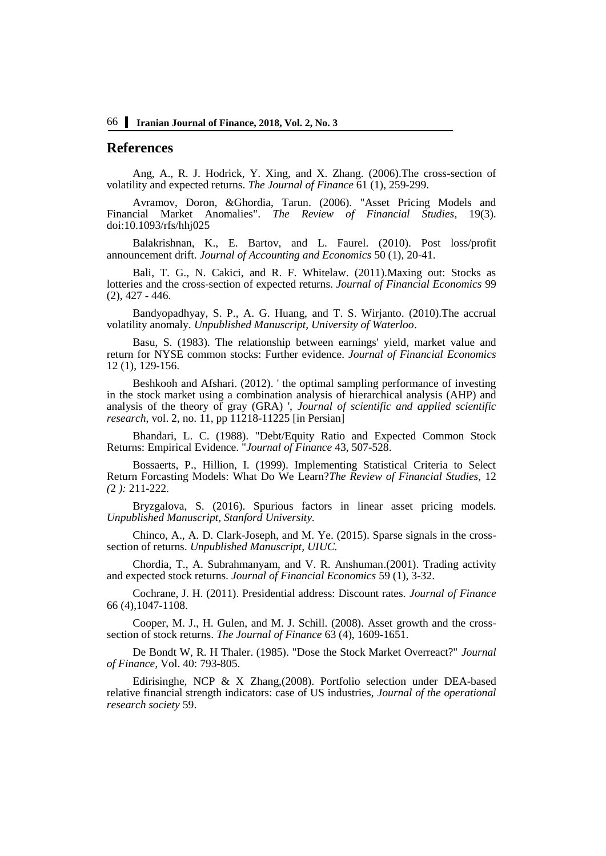## **References**

Ang, A., R. J. Hodrick, Y. Xing, and X. Zhang. (2006).The cross-section of volatility and expected returns. *The Journal of Finance* 61 (1), 259-299.

Avramov, Doron, &Ghordia, Tarun. (2006). "Asset Pricing Models and Financial Market Anomalies". *The Review of Financial Studies*, 19(3). doi:10.1093/rfs/hhj025

Balakrishnan, K., E. Bartov, and L. Faurel. (2010). Post loss/profit announcement drift. *Journal of Accounting and Economics* 50 (1), 20-41.

Bali, T. G., N. Cakici, and R. F. Whitelaw. (2011).Maxing out: Stocks as lotteries and the cross-section of expected returns. *Journal of Financial Economics* 99 (2), 427 - 446.

Bandyopadhyay, S. P., A. G. Huang, and T. S. Wirjanto. (2010).The accrual volatility anomaly. *Unpublished Manuscript, University of Waterloo*.

Basu, S. (1983). The relationship between earnings' yield, market value and return for NYSE common stocks: Further evidence. *Journal of Financial Economics* 12 (1), 129-156.

Beshkooh and Afshari. (2012). ' the optimal sampling performance of investing in the stock market using a combination analysis of hierarchical analysis (AHP) and analysis of the theory of gray (GRA) ', *Journal of scientific and applied scientific research*, vol. 2, no. 11, pp 11218-11225 [in Persian]

Bhandari, L. C. (1988). "Debt/Equity Ratio and Expected Common Stock Returns: Empirical Evidence. "*Journal of Finance* 43, 507-528.

Bossaerts, P., Hillion, I. (1999). Implementing Statistical Criteria to Select Return Forcasting Models: What Do We Learn?*The Review of Financial Studies,* 12 *(*2 *):* 211-222.

Bryzgalova, S. (2016). Spurious factors in linear asset pricing models*. Unpublished Manuscript, Stanford University.*

Chinco, A., A. D. Clark-Joseph, and M. Ye. (2015). Sparse signals in the crosssection of returns. *Unpublished Manuscript, UIUC.*

Chordia, T., A. Subrahmanyam, and V. R. Anshuman.(2001). Trading activity and expected stock returns*. Journal of Financial Economics* 59 (1), 3-32.

Cochrane, J. H. (2011). Presidential address: Discount rates. *Journal of Finance* 66 (4),1047-1108.

Cooper, M. J., H. Gulen, and M. J. Schill. (2008). Asset growth and the crosssection of stock returns. *The Journal of Finance* 63 (4), 1609-1651.

De Bondt W, R. H Thaler. (1985). "Dose the Stock Market Overreact?" *Journal of Finance*, Vol. 40: 793-805.

Edirisinghe, NCP & X Zhang,(2008). Portfolio selection under DEA-based relative financial strength indicators: case of US industries, *Journal of the operational research society* 59.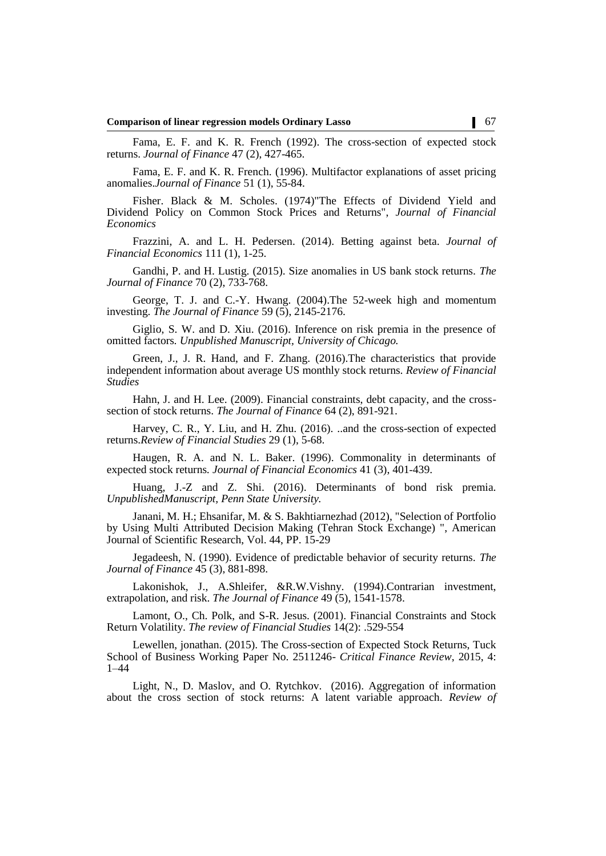Fama, E. F. and K. R. French (1992). The cross-section of expected stock returns. *Journal of Finance* 47 (2), 427-465.

Fama, E. F. and K. R. French. (1996). Multifactor explanations of asset pricing anomalies.*Journal of Finance* 51 (1), 55-84.

Fisher. Black & M. Scholes. (1974)"The Effects of Dividend Yield and Dividend Policy on Common Stock Prices and Returns", *Journal of Financial Economics*

Frazzini, A. and L. H. Pedersen. (2014). Betting against beta. *Journal of Financial Economics* 111 (1), 1-25.

Gandhi, P. and H. Lustig. (2015). Size anomalies in US bank stock returns. *The Journal of Finance* 70 (2), 733-768.

George, T. J. and C.-Y. Hwang. (2004).The 52-week high and momentum investing. *The Journal of Finance* 59 (5), 2145-2176.

Giglio, S. W. and D. Xiu. (2016). Inference on risk premia in the presence of omitted factors*. Unpublished Manuscript, University of Chicago.*

Green, J., J. R. Hand, and F. Zhang. (2016).The characteristics that provide independent information about average US monthly stock returns. *Review of Financial Studies*

Hahn, J. and H. Lee. (2009). Financial constraints, debt capacity, and the crosssection of stock returns. *The Journal of Finance* 64 (2), 891-921.

Harvey, C. R., Y. Liu, and H. Zhu. (2016). ..and the cross-section of expected returns.*Review of Financial Studies* 29 (1), 5-68.

Haugen, R. A. and N. L. Baker. (1996). Commonality in determinants of expected stock returns*. Journal of Financial Economics* 41 (3), 401-439.

Huang, J.-Z and Z. Shi. (2016). Determinants of bond risk premia. *UnpublishedManuscript, Penn State University.*

Janani, M. H.; Ehsanifar, M. & S. Bakhtiarnezhad (2012), "Selection of Portfolio by Using Multi Attributed Decision Making (Tehran Stock Exchange) ", American Journal of Scientific Research, Vol. 44, PP. 15-29

Jegadeesh, N. (1990). Evidence of predictable behavior of security returns. *The Journal of Finance* 45 (3), 881-898.

Lakonishok, J., A.Shleifer, &R.W.Vishny. (1994).Contrarian investment, extrapolation, and risk. *The Journal of Finance* 49 (5), 1541-1578.

Lamont, O., Ch. Polk, and S-R. Jesus. (2001). Financial Constraints and Stock Return Volatility. *The review of Financial Studies* 14(2): .529-554

Lewellen, jonathan. (2015). The Cross-section of Expected Stock Returns, Tuck School of Business Working Paper No. 2511246- *Critical Finance Review*, 2015, 4: 1–44

Light, N., D. Maslov, and O. Rytchkov. (2016). Aggregation of information about the cross section of stock returns: A latent variable approach. *Review of*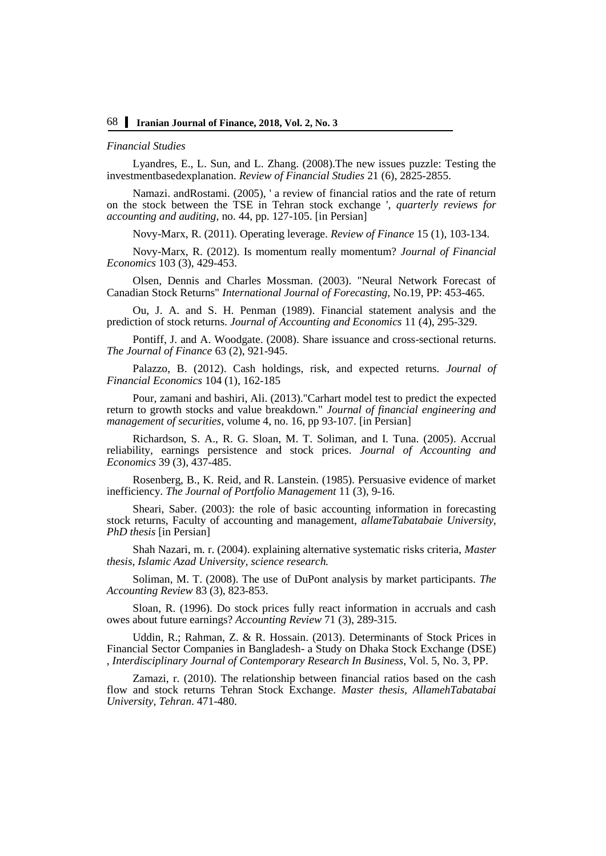#### *Financial Studies*

Lyandres, E., L. Sun, and L. Zhang. (2008).The new issues puzzle: Testing the investmentbasedexplanation. *Review of Financial Studies* 21 (6), 2825-2855.

Namazi. andRostami. (2005), ' a review of financial ratios and the rate of return on the stock between the TSE in Tehran stock exchange '*, quarterly reviews for accounting and auditing*, no. 44, pp. 127-105. [in Persian]

Novy-Marx, R. (2011). Operating leverage. *Review of Finance* 15 (1), 103-134.

Novy-Marx, R. (2012). Is momentum really momentum? *Journal of Financial Economics* 103 (3), 429-453.

Olsen, Dennis and Charles Mossman. (2003). "Neural Network Forecast of Canadian Stock Returns" *International Journal of Forecasting,* No.19, PP: 453-465.

Ou, J. A. and S. H. Penman (1989). Financial statement analysis and the prediction of stock returns. *Journal of Accounting and Economics* 11 (4), 295-329.

Pontiff, J. and A. Woodgate. (2008). Share issuance and cross-sectional returns. *The Journal of Finance* 63 (2), 921-945.

Palazzo, B. (2012). Cash holdings, risk, and expected returns. *Journal of Financial Economics* 104 (1), 162-185

Pour, zamani and bashiri, Ali. (2013)."Carhart model test to predict the expected return to growth stocks and value breakdown." *Journal of financial engineering and management of securities*, volume 4, no. 16, pp 93-107. [in Persian]

Richardson, S. A., R. G. Sloan, M. T. Soliman, and I. Tuna. (2005). Accrual reliability, earnings persistence and stock prices. *Journal of Accounting and Economics* 39 (3), 437-485.

Rosenberg, B., K. Reid, and R. Lanstein. (1985). Persuasive evidence of market inefficiency. *The Journal of Portfolio Management* 11 (3), 9-16.

Sheari, Saber. (2003): the role of basic accounting information in forecasting stock returns, Faculty of accounting and management, *allameTabatabaie University, PhD thesis* [in Persian]

Shah Nazari, m. r. (2004). explaining alternative systematic risks criteria, *Master thesis, Islamic Azad University, science research.*

Soliman, M. T. (2008). The use of DuPont analysis by market participants. *The Accounting Review* 83 (3), 823-853.

Sloan, R. (1996). Do stock prices fully react information in accruals and cash owes about future earnings? *Accounting Review* 71 (3), 289-315.

Uddin, R.; Rahman, Z. & R. Hossain. (2013). Determinants of Stock Prices in Financial Sector Companies in Bangladesh- a Study on Dhaka Stock Exchange (DSE) , *Interdisciplinary Journal of Contemporary Research In Business*, Vol. 5, No. 3, PP.

Zamazi, r. (2010). The relationship between financial ratios based on the cash flow and stock returns Tehran Stock Exchange. *Master thesis, AllamehTabatabai University, Tehran*. 471-480.